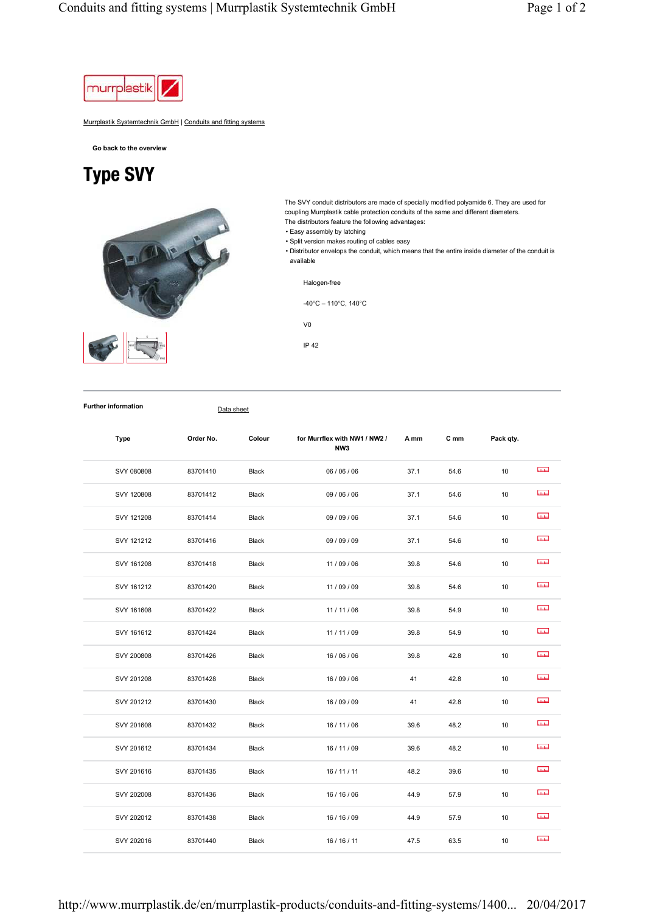

Murrplastik Systemtechnik GmbH | Conduits and fitting systems

**Go back to the overview**

## Type SVY



The SVY conduit distributors are made of specially modified polyamide 6. They are used for coupling Murrplastik cable protection conduits of the same and different diameters. The distributors feature the following advantages:

- Easy assembly by latching
- Split version makes routing of cables easy

• Distributor envelops the conduit, which means that the entire inside diameter of the conduit is available

Halogen-free

-40°C – 110°C, 140°C

V0

IP 42



**Further information** Data sheet

| Type       | Order No. | Colour       | for Murrflex with NW1 / NW2 /<br>NW3 | A mm | C mm | Pack qty. |                |
|------------|-----------|--------------|--------------------------------------|------|------|-----------|----------------|
| SVY 080808 | 83701410  | Black        | 06 / 06 / 06                         | 37.1 | 54.6 | 10        | استشتما        |
| SVY 120808 | 83701412  | Black        | 09 / 06 / 06                         | 37.1 | 54.6 | 10        | لتنششا         |
| SVY 121208 | 83701414  | Black        | 09 / 09 / 06                         | 37.1 | 54.6 | 10        | <b>utubu</b>   |
| SVY 121212 | 83701416  | Black        | 09 / 09 / 09                         | 37.1 | 54.6 | 10        | ساماتنا        |
| SVY 161208 | 83701418  | Black        | 11/09/06                             | 39.8 | 54.6 | 10        | ستستسأ         |
| SVY 161212 | 83701420  | Black        | 11/09/09                             | 39.8 | 54.6 | 10        | <b>Infolio</b> |
| SVY 161608 | 83701422  | Black        | 11/11/06                             | 39.8 | 54.9 | $10$      | atatan.        |
| SVY 161612 | 83701424  | Black        | 11/11/09                             | 39.8 | 54.9 | 10        | سلبيلينا       |
| SVY 200808 | 83701426  | Black        | 16 / 06 / 06                         | 39.8 | 42.8 | 10        | <b>utubu</b>   |
| SVY 201208 | 83701428  | Black        | 16 / 09 / 06                         | 41   | 42.8 | 10        | استستسا        |
| SVY 201212 | 83701430  | Black        | 16 / 09 / 09                         | 41   | 42.8 | 10        | abdun          |
| SVY 201608 | 83701432  | Black        | 16 / 11 / 06                         | 39.6 | 48.2 | 10        | <b>ulului</b>  |
| SVY 201612 | 83701434  | Black        | 16 / 11 / 09                         | 39.6 | 48.2 | 10        | ستستسأ         |
| SVY 201616 | 83701435  | Black        | 16/11/11                             | 48.2 | 39.6 | 10        | <b>Mature</b>  |
| SVY 202008 | 83701436  | <b>Black</b> | 16 / 16 / 06                         | 44.9 | 57.9 | 10        | <b>Infolio</b> |
| SVY 202012 | 83701438  | Black        | 16 / 16 / 09                         | 44.9 | 57.9 | $10$      | ulului         |
| SVY 202016 | 83701440  | Black        | 16 / 16 / 11                         | 47.5 | 63.5 | 10        | <b>utului</b>  |